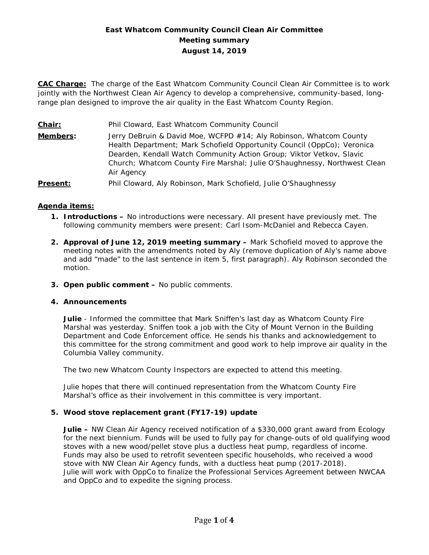# **East Whatcom Community Council Clean Air Committee Meeting summary August 14, 2019**

**CAC Charge:** The charge of the East Whatcom Community Council Clean Air Committee is to work jointly with the Northwest Clean Air Agency to develop a comprehensive, community-based, longrange plan designed to improve the air quality in the East Whatcom County Region.

**Chair:** Phil Cloward, East Whatcom Community Council **Members:** Jerry DeBruin & David Moe, WCFPD #14; Aly Robinson, Whatcom County Health Department; Mark Schofield Opportunity Council (OppCo); Veronica Dearden, Kendall Watch Community Action Group; Viktor Vetkov, Slavic Church; Whatcom County Fire Marshal; Julie O'Shaughnessy, Northwest Clean Air Agency **Present:** Phil Cloward, Aly Robinson, Mark Schofield, Julie O'Shaughnessy

## **Agenda items:**

- **1. Introductions –** No introductions were necessary. All present have previously met. The following community members were present: Carl Isom-McDaniel and Rebecca Cayen.
- **2. Approval of June 12, 2019 meeting summary –** Mark Schofield moved to approve the meeting notes with the amendments noted by Aly (remove duplication of Aly's name above and add "made" to the last sentence in item 5, first paragraph). Aly Robinson seconded the motion.
- **3. Open public comment –** No public comments.

### **4. Announcements**

**Julie** - Informed the committee that Mark Sniffen's last day as Whatcom County Fire Marshal was yesterday. Sniffen took a job with the City of Mount Vernon in the Building Department and Code Enforcement office. He sends his thanks and acknowledgement to this committee for the strong commitment and good work to help improve air quality in the Columbia Valley community.

The two new Whatcom County Inspectors are expected to attend this meeting.

Julie hopes that there will continued representation from the Whatcom County Fire Marshal's office as their involvement in this committee is very important.

### **5. Wood stove replacement grant (FY17-19) update**

**Julie –** NW Clean Air Agency received notification of a \$330,000 grant award from Ecology for the next biennium. Funds will be used to fully pay for change-outs of old qualifying wood stoves with a new wood/pellet stove plus a ductless heat pump, regardless of income. Funds may also be used to retrofit seventeen specific households, who received a wood stove with NW Clean Air Agency funds, with a ductless heat pump (2017-2018). Julie will work with OppCo to finalize the Professional Services Agreement between NWCAA and OppCo and to expedite the signing process.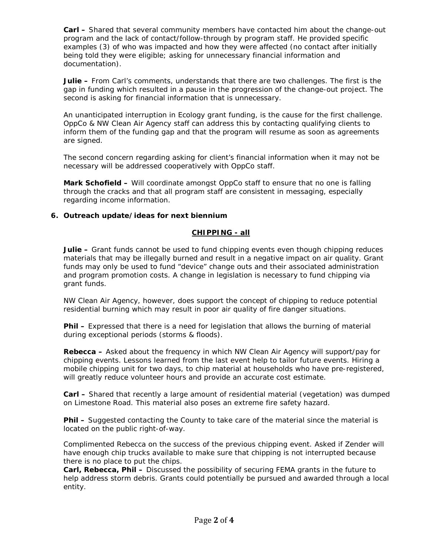**Carl –** Shared that several community members have contacted him about the change-out program and the lack of contact/follow-through by program staff. He provided specific examples (3) of who was impacted and how they were affected (no contact after initially being told they were eligible; asking for unnecessary financial information and documentation).

**Julie –** From Carl's comments, understands that there are two challenges. The first is the gap in funding which resulted in a pause in the progression of the change-out project. The second is asking for financial information that is unnecessary.

An unanticipated interruption in Ecology grant funding, is the cause for the first challenge. OppCo & NW Clean Air Agency staff can address this by contacting qualifying clients to inform them of the funding gap and that the program will resume as soon as agreements are signed.

The second concern regarding asking for client's financial information when it may not be necessary will be addressed cooperatively with OppCo staff.

**Mark Schofield –** Will coordinate amongst OppCo staff to ensure that no one is falling through the cracks and that all program staff are consistent in messaging, especially regarding income information.

## **6. Outreach update/ideas for next biennium**

### **CHIPPING - all**

**Julie –** Grant funds cannot be used to fund chipping events even though chipping reduces materials that may be illegally burned and result in a negative impact on air quality. Grant funds may only be used to fund "device" change outs and their associated administration and program promotion costs. A change in legislation is necessary to fund chipping via grant funds.

NW Clean Air Agency, however, does support the concept of chipping to reduce potential residential burning which may result in poor air quality of fire danger situations.

**Phil –** Expressed that there is a need for legislation that allows the burning of material during exceptional periods (storms & floods).

**Rebecca –** Asked about the frequency in which NW Clean Air Agency will support/pay for chipping events. Lessons learned from the last event help to tailor future events. Hiring a mobile chipping unit for two days, to chip material at households who have pre-registered, will greatly reduce volunteer hours and provide an accurate cost estimate.

**Carl –** Shared that recently a large amount of residential material (vegetation) was dumped on Limestone Road. This material also poses an extreme fire safety hazard.

**Phil –** Suggested contacting the County to take care of the material since the material is located on the public right-of-way.

Complimented Rebecca on the success of the previous chipping event. Asked if Zender will have enough chip trucks available to make sure that chipping is not interrupted because there is no place to put the chips.

**Carl, Rebecca, Phil –** Discussed the possibility of securing FEMA grants in the future to help address storm debris. Grants could potentially be pursued and awarded through a local entity.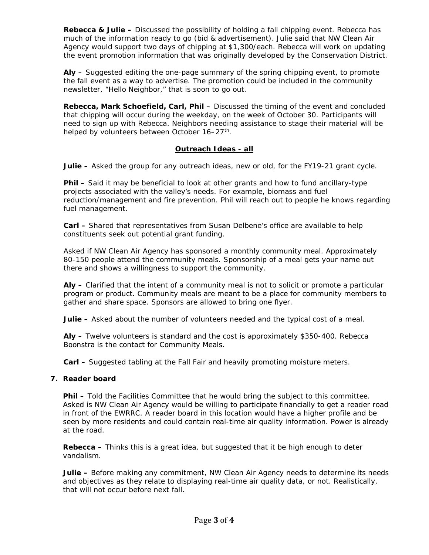**Rebecca & Julie –** Discussed the possibility of holding a fall chipping event. Rebecca has much of the information ready to go (bid & advertisement). Julie said that NW Clean Air Agency would support two days of chipping at \$1,300/each. Rebecca will work on updating the event promotion information that was originally developed by the Conservation District.

**Aly –** Suggested editing the one-page summary of the spring chipping event, to promote the fall event as a way to advertise. The promotion could be included in the community newsletter, "Hello Neighbor," that is soon to go out.

**Rebecca, Mark Schoefield, Carl, Phil –** Discussed the timing of the event and concluded that chipping will occur during the weekday, on the week of October 30. Participants will need to sign up with Rebecca. Neighbors needing assistance to stage their material will be helped by volunteers between October 16-27<sup>th</sup>.

## **Outreach Ideas - all**

**Julie –** Asked the group for any outreach ideas, new or old, for the FY19-21 grant cycle.

**Phil –** Said it may be beneficial to look at other grants and how to fund ancillary-type projects associated with the valley's needs. For example, biomass and fuel reduction/management and fire prevention. Phil will reach out to people he knows regarding fuel management.

**Carl –** Shared that representatives from Susan Delbene's office are available to help constituents seek out potential grant funding.

Asked if NW Clean Air Agency has sponsored a monthly community meal. Approximately 80-150 people attend the community meals. Sponsorship of a meal gets your name out there and shows a willingness to support the community.

**Aly –** Clarified that the intent of a community meal is not to solicit or promote a particular program or product. Community meals are meant to be a place for community members to gather and share space. Sponsors are allowed to bring one flyer.

**Julie –** Asked about the number of volunteers needed and the typical cost of a meal.

**Aly –** Twelve volunteers is standard and the cost is approximately \$350-400. Rebecca Boonstra is the contact for Community Meals.

**Carl –** Suggested tabling at the Fall Fair and heavily promoting moisture meters.

### **7. Reader board**

**Phil –** Told the Facilities Committee that he would bring the subject to this committee. Asked is NW Clean Air Agency would be willing to participate financially to get a reader road in front of the EWRRC. A reader board in this location would have a higher profile and be seen by more residents and could contain real-time air quality information. Power is already at the road.

**Rebecca –** Thinks this is a great idea, but suggested that it be high enough to deter vandalism.

**Julie –** Before making any commitment, NW Clean Air Agency needs to determine its needs and objectives as they relate to displaying real-time air quality data, or not. Realistically, that will not occur before next fall.